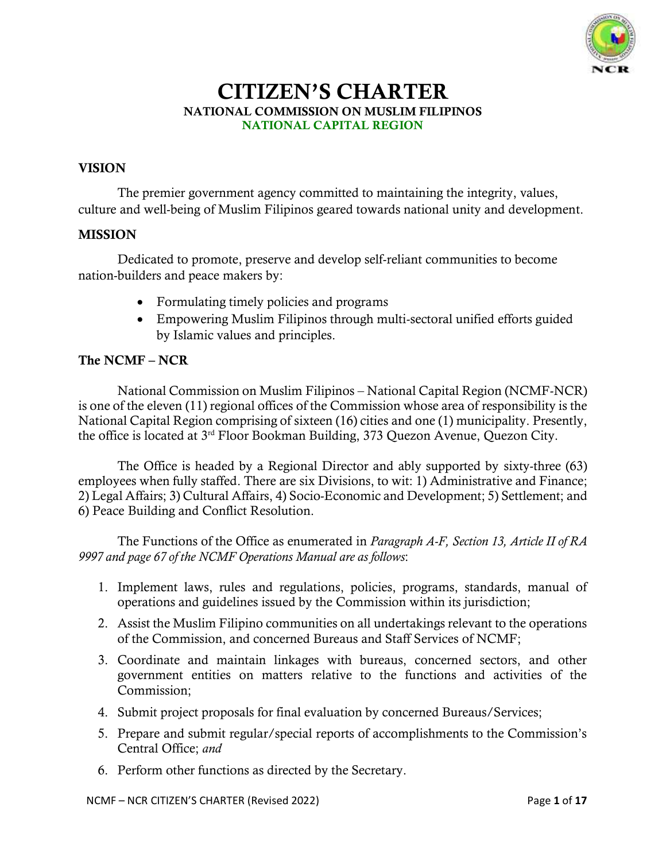

# CITIZEN'S CHARTER NATIONAL COMMISSION ON MUSLIM FILIPINOS NATIONAL CAPITAL REGION

## VISION

The premier government agency committed to maintaining the integrity, values, culture and well-being of Muslim Filipinos geared towards national unity and development.

### MISSION

Dedicated to promote, preserve and develop self-reliant communities to become nation-builders and peace makers by:

- Formulating timely policies and programs
- Empowering Muslim Filipinos through multi-sectoral unified efforts guided by Islamic values and principles.

## The NCMF – NCR

National Commission on Muslim Filipinos – National Capital Region (NCMF-NCR) is one of the eleven (11) regional offices of the Commission whose area of responsibility is the National Capital Region comprising of sixteen (16) cities and one (1) municipality. Presently, the office is located at 3rd Floor Bookman Building, 373 Quezon Avenue, Quezon City.

The Office is headed by a Regional Director and ably supported by sixty-three (63) employees when fully staffed. There are six Divisions, to wit: 1) Administrative and Finance; 2) Legal Affairs; 3) Cultural Affairs, 4) Socio-Economic and Development; 5) Settlement; and 6) Peace Building and Conflict Resolution.

The Functions of the Office as enumerated in *Paragraph A-F, Section 13, Article II of RA 9997 and page 67 of the NCMF Operations Manual are as follows*:

- 1. Implement laws, rules and regulations, policies, programs, standards, manual of operations and guidelines issued by the Commission within its jurisdiction;
- 2. Assist the Muslim Filipino communities on all undertakings relevant to the operations of the Commission, and concerned Bureaus and Staff Services of NCMF;
- 3. Coordinate and maintain linkages with bureaus, concerned sectors, and other government entities on matters relative to the functions and activities of the Commission;
- 4. Submit project proposals for final evaluation by concerned Bureaus/Services;
- 5. Prepare and submit regular/special reports of accomplishments to the Commission's Central Office; *and*
- 6. Perform other functions as directed by the Secretary.

NCMF – NCR CITIZEN'S CHARTER (Revised 2022) Page **1** of **17**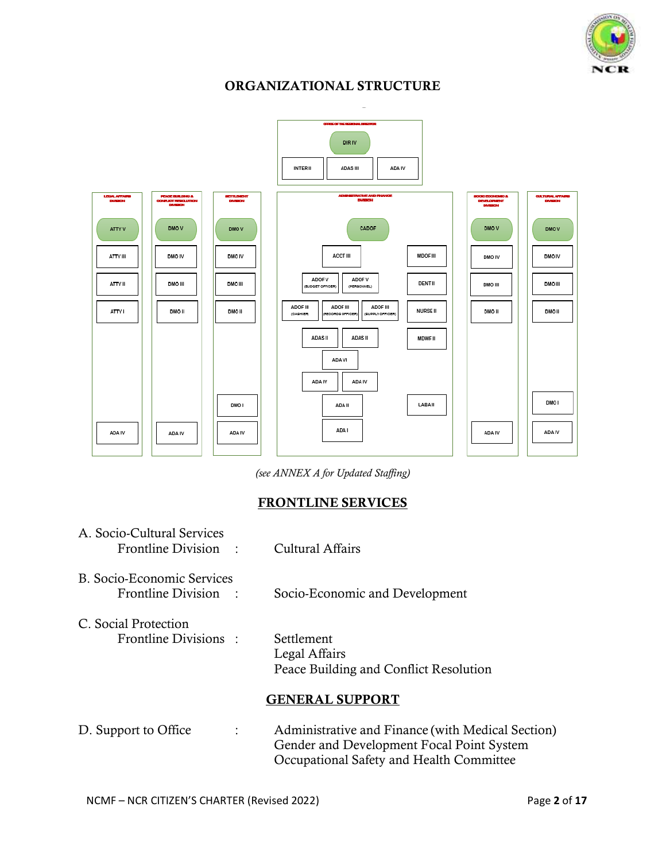

# ORGANIZATIONAL STRUCTURE



*(see ANNEX A for Updated Staffing)*

## FRONTLINE SERVICES

| A. Socio-Cultural Services<br>Frontline Division :        | Cultural Affairs                                                                                                                           |
|-----------------------------------------------------------|--------------------------------------------------------------------------------------------------------------------------------------------|
| <b>B. Socio-Economic Services</b><br>Frontline Division : | Socio-Economic and Development                                                                                                             |
| C. Social Protection<br>Frontline Divisions:              | <b>Settlement</b><br>Legal Affairs<br>Peace Building and Conflict Resolution                                                               |
|                                                           | <b>GENERAL SUPPORT</b>                                                                                                                     |
| D. Support to Office<br>$\ddot{\phantom{0}}$              | Administrative and Finance (with Medical Section)<br>Gender and Development Focal Point System<br>Occupational Safety and Health Committee |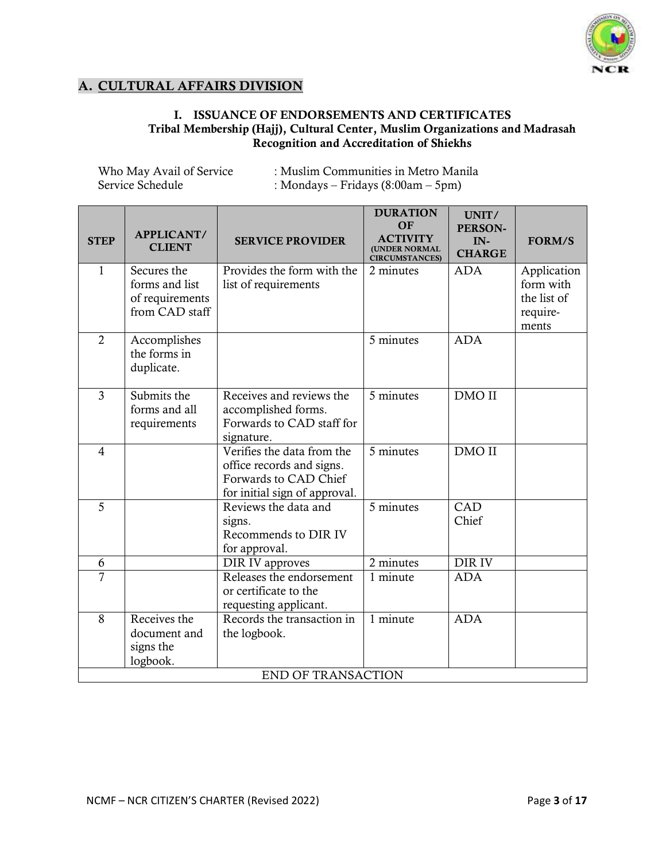

## A. CULTURAL AFFAIRS DIVISION

## I. ISSUANCE OF ENDORSEMENTS AND CERTIFICATES Tribal Membership (Hajj), Cultural Center, Muslim Organizations and Madrasah Recognition and Accreditation of Shiekhs

| Who May Avail of Service | : Muslim Communities in Metro Manila |
|--------------------------|--------------------------------------|
| Service Schedule         | : Mondays – Fridays $(8:00am - 5pm)$ |

| <b>STEP</b>    | APPLICANT/<br><b>CLIENT</b>                                        | <b>SERVICE PROVIDER</b>                                                                                           | <b>DURATION</b><br><b>OF</b><br><b>ACTIVITY</b><br><b>(UNDER NORMAL</b><br><b>CIRCUMSTANCES)</b> | UNIT/<br>PERSON-<br>IN-<br><b>CHARGE</b> | <b>FORM/S</b>                                                |
|----------------|--------------------------------------------------------------------|-------------------------------------------------------------------------------------------------------------------|--------------------------------------------------------------------------------------------------|------------------------------------------|--------------------------------------------------------------|
| 1              | Secures the<br>forms and list<br>of requirements<br>from CAD staff | Provides the form with the<br>list of requirements                                                                | 2 minutes                                                                                        | <b>ADA</b>                               | Application<br>form with<br>the list of<br>require-<br>ments |
| $\overline{2}$ | Accomplishes<br>the forms in<br>duplicate.                         |                                                                                                                   | 5 minutes                                                                                        | <b>ADA</b>                               |                                                              |
| $\overline{3}$ | Submits the<br>forms and all<br>requirements                       | Receives and reviews the<br>accomplished forms.<br>Forwards to CAD staff for<br>signature.                        | 5 minutes                                                                                        | DMO II                                   |                                                              |
| $\overline{4}$ |                                                                    | Verifies the data from the<br>office records and signs.<br>Forwards to CAD Chief<br>for initial sign of approval. | 5 minutes                                                                                        | DMO II                                   |                                                              |
| 5              |                                                                    | Reviews the data and<br>signs.<br>Recommends to DIR IV<br>for approval.                                           | 5 minutes                                                                                        | CAD<br>Chief                             |                                                              |
| 6              |                                                                    | DIR IV approves                                                                                                   | $\overline{2}$ minutes                                                                           | DIR IV                                   |                                                              |
| $\overline{7}$ |                                                                    | Releases the endorsement<br>or certificate to the<br>requesting applicant.                                        | 1 minute                                                                                         | <b>ADA</b>                               |                                                              |
| 8              | Receives the<br>document and<br>signs the<br>logbook.              | Records the transaction in<br>the logbook.<br><b>END OF TRANSACTION</b>                                           | 1 minute                                                                                         | <b>ADA</b>                               |                                                              |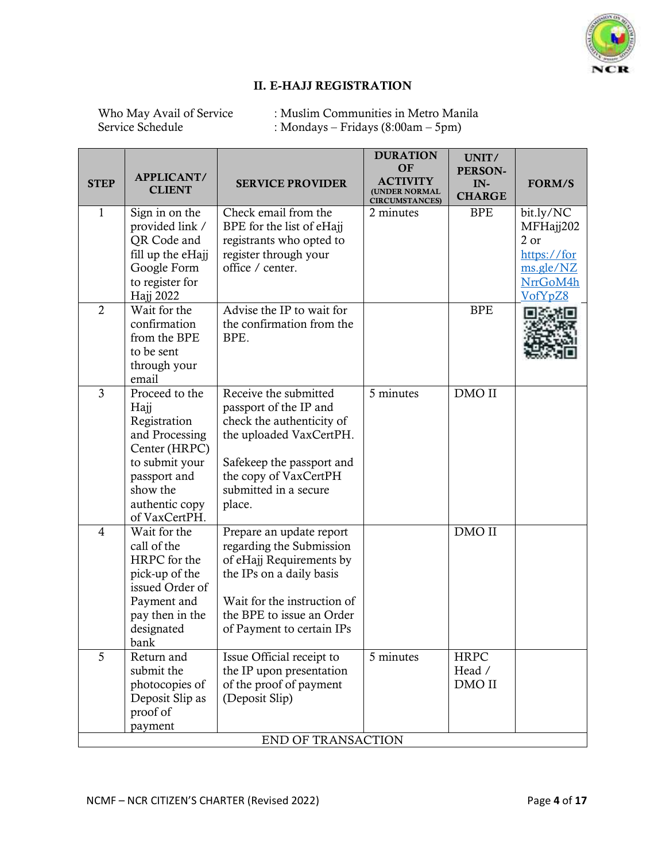

 $\overline{\phantom{a}}$ 

## II. E-HAJJ REGISTRATION

Who May Avail of Service : Muslim Communities in Metro Manila<br>Service Schedule : Mondays – Fridays (8:00am – 5pm) : Mondays – Fridays (8:00am – 5pm)

| <b>STEP</b>    | APPLICANT/<br><b>CLIENT</b>                                                                                                                                | <b>SERVICE PROVIDER</b>                                                                                                                                                                               | <b>DURATION</b><br><b>OF</b><br><b>ACTIVITY</b><br><b>(UNDER NORMAL</b><br><b>CIRCUMSTANCES)</b> | UNIT/<br>PERSON-<br>IN-<br><b>CHARGE</b> | FORM/S                                                                            |
|----------------|------------------------------------------------------------------------------------------------------------------------------------------------------------|-------------------------------------------------------------------------------------------------------------------------------------------------------------------------------------------------------|--------------------------------------------------------------------------------------------------|------------------------------------------|-----------------------------------------------------------------------------------|
| 1              | Sign in on the<br>provided link /<br>QR Code and<br>fill up the eHajj<br>Google Form<br>to register for<br>Hajj 2022                                       | Check email from the<br>BPE for the list of eHajj<br>registrants who opted to<br>register through your<br>office / center.                                                                            | 2 minutes                                                                                        | <b>BPE</b>                               | bit.ly/NC<br>MFHajj202<br>2 or<br>https://for<br>ms.gle/NZ<br>NrrGoM4h<br>VofYpZ8 |
| $\overline{2}$ | Wait for the<br>confirmation<br>from the BPE<br>to be sent<br>through your<br>email                                                                        | Advise the IP to wait for<br>the confirmation from the<br>BPE.                                                                                                                                        |                                                                                                  | <b>BPE</b>                               |                                                                                   |
| $\overline{3}$ | Proceed to the<br>Hajj<br>Registration<br>and Processing<br>Center (HRPC)<br>to submit your<br>passport and<br>show the<br>authentic copy<br>of VaxCertPH. | Receive the submitted<br>passport of the IP and<br>check the authenticity of<br>the uploaded VaxCertPH.<br>Safekeep the passport and<br>the copy of VaxCertPH<br>submitted in a secure<br>place.      | 5 minutes                                                                                        | DMO II                                   |                                                                                   |
| $\overline{4}$ | Wait for the<br>call of the<br>HRPC for the<br>pick-up of the<br>issued Order of<br>Payment and<br>pay then in the<br>designated<br>bank                   | Prepare an update report<br>regarding the Submission<br>of eHajj Requirements by<br>the IPs on a daily basis<br>Wait for the instruction of<br>the BPE to issue an Order<br>of Payment to certain IPs |                                                                                                  | DMO II                                   |                                                                                   |
| 5              | Return and<br>submit the<br>photocopies of<br>Deposit Slip as<br>proof of<br>payment                                                                       | Issue Official receipt to<br>the IP upon presentation<br>of the proof of payment<br>(Deposit Slip)<br>END OF TRANSACTION                                                                              | 5 minutes                                                                                        | <b>HRPC</b><br>Head /<br>DMO II          |                                                                                   |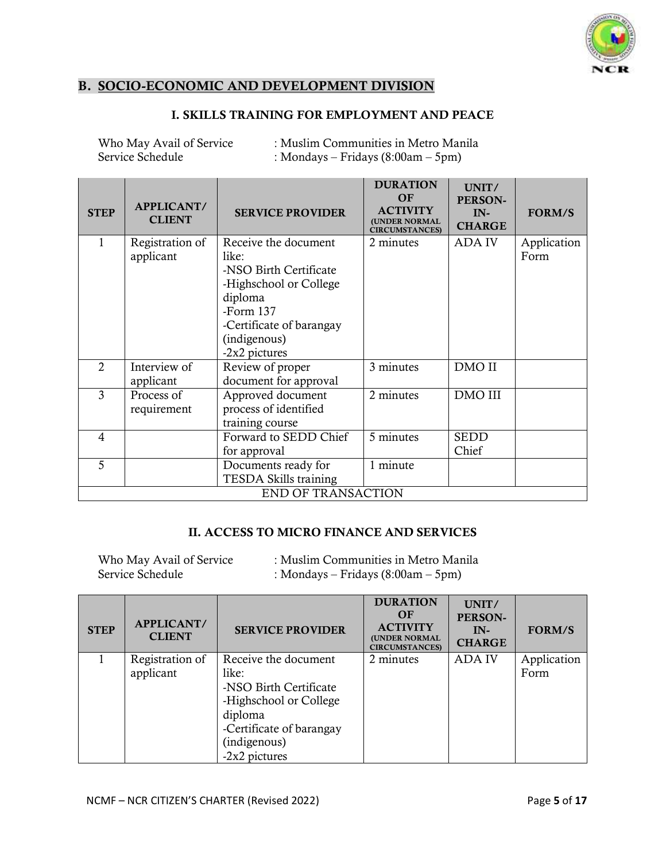

## B. SOCIO-ECONOMIC AND DEVELOPMENT DIVISION

## I. SKILLS TRAINING FOR EMPLOYMENT AND PEACE

| Who May Avail of Service | : Muslim Communities in Metro Manila |
|--------------------------|--------------------------------------|
| Service Schedule         | : Mondays – Fridays $(8:00am - 5pm)$ |

| <b>STEP</b>    | <b>APPLICANT/</b><br><b>CLIENT</b> | <b>SERVICE PROVIDER</b>   | <b>DURATION</b><br><b>OF</b><br><b>ACTIVITY</b><br><b>(UNDER NORMAL</b><br><b>CIRCUMSTANCES)</b> | UNIT/<br>PERSON-<br>$IN-$<br><b>CHARGE</b> | <b>FORM/S</b> |
|----------------|------------------------------------|---------------------------|--------------------------------------------------------------------------------------------------|--------------------------------------------|---------------|
| 1              | Registration of                    | Receive the document      | 2 minutes                                                                                        | <b>ADAIV</b>                               | Application   |
|                | applicant                          | like:                     |                                                                                                  |                                            | Form          |
|                |                                    | -NSO Birth Certificate    |                                                                                                  |                                            |               |
|                |                                    | -Highschool or College    |                                                                                                  |                                            |               |
|                |                                    | diploma                   |                                                                                                  |                                            |               |
|                |                                    | -Form $137$               |                                                                                                  |                                            |               |
|                |                                    | -Certificate of barangay  |                                                                                                  |                                            |               |
|                |                                    | (indigenous)              |                                                                                                  |                                            |               |
|                |                                    | -2x2 pictures             |                                                                                                  |                                            |               |
| $\overline{2}$ | Interview of                       | Review of proper          | 3 minutes                                                                                        | DMO II                                     |               |
|                | applicant                          | document for approval     |                                                                                                  |                                            |               |
| 3              | Process of                         | Approved document         | 2 minutes                                                                                        | DMO III                                    |               |
|                | requirement                        | process of identified     |                                                                                                  |                                            |               |
|                |                                    | training course           |                                                                                                  |                                            |               |
| $\overline{4}$ |                                    | Forward to SEDD Chief     | 5 minutes                                                                                        | <b>SEDD</b>                                |               |
|                |                                    | for approval              |                                                                                                  | Chief                                      |               |
| 5              |                                    | Documents ready for       | 1 minute                                                                                         |                                            |               |
|                |                                    | TESDA Skills training     |                                                                                                  |                                            |               |
|                |                                    | <b>END OF TRANSACTION</b> |                                                                                                  |                                            |               |

#### II. ACCESS TO MICRO FINANCE AND SERVICES

| Who May Avail of Service | : Muslim Communities in Metro Manila |
|--------------------------|--------------------------------------|
| Service Schedule         | : Mondays – Fridays $(8:00am - 5pm)$ |

| <b>STEP</b> | <b>APPLICANT/</b><br><b>CLIENT</b> | <b>SERVICE PROVIDER</b>                                                                                                                                   | <b>DURATION</b><br>OF<br><b>ACTIVITY</b><br><b>(UNDER NORMAL</b><br><b>CIRCUMSTANCES)</b> | UNIT/<br>PERSON-<br>$IN-$<br><b>CHARGE</b> | <b>FORM/S</b>       |
|-------------|------------------------------------|-----------------------------------------------------------------------------------------------------------------------------------------------------------|-------------------------------------------------------------------------------------------|--------------------------------------------|---------------------|
|             | Registration of<br>applicant       | Receive the document<br>like:<br>-NSO Birth Certificate<br>-Highschool or College<br>diploma<br>-Certificate of barangay<br>(indigenous)<br>-2x2 pictures | 2 minutes                                                                                 | <b>ADA IV</b>                              | Application<br>Form |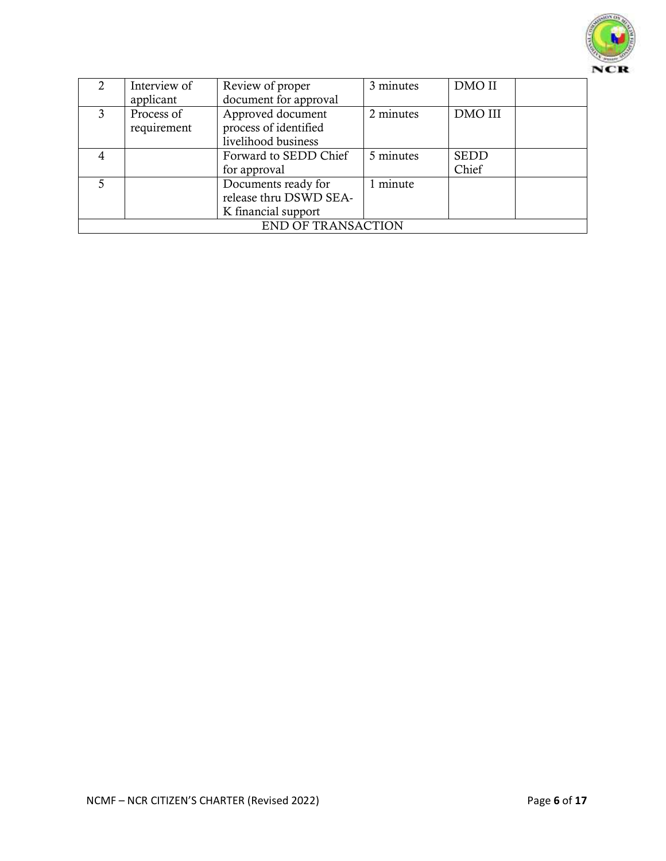

|   | Interview of<br>applicant | Review of proper<br>document for approval                            | 3 minutes | DMO II               |  |
|---|---------------------------|----------------------------------------------------------------------|-----------|----------------------|--|
| 3 | Process of<br>requirement | Approved document<br>process of identified<br>livelihood business    | 2 minutes | <b>DMO III</b>       |  |
|   |                           | Forward to SEDD Chief<br>for approval                                | 5 minutes | <b>SEDD</b><br>Chief |  |
| 5 |                           | Documents ready for<br>release thru DSWD SEA-<br>K financial support | 1 minute  |                      |  |
|   |                           | <b>END OF TRANSACTION</b>                                            |           |                      |  |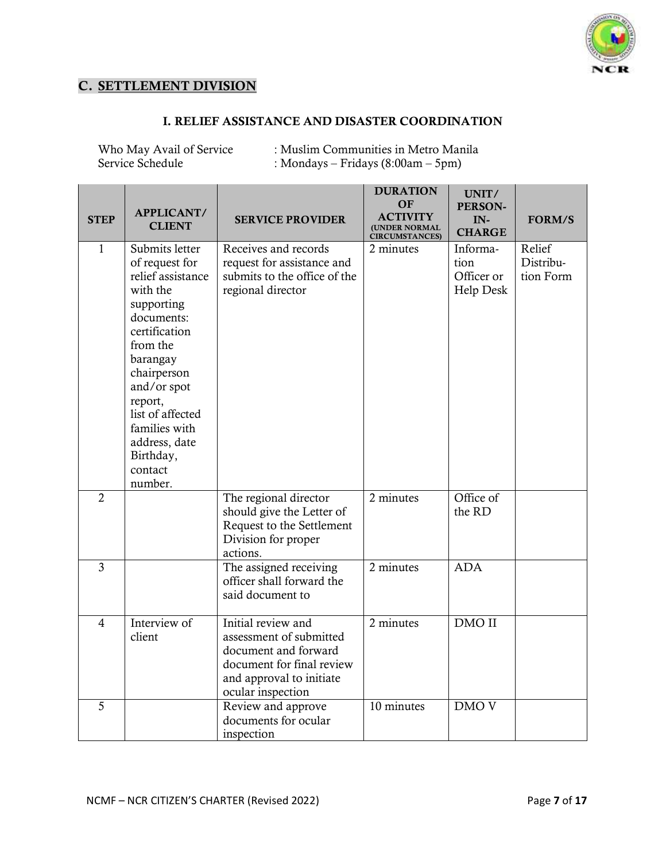

## C. SETTLEMENT DIVISION

#### I. RELIEF ASSISTANCE AND DISASTER COORDINATION

Who May Avail of Service : Muslim Communities in Metro Manila<br>Service Schedule : Mondavs – Fridavs (8:00am – 5pm) : Mondays – Fridays (8:00am – 5pm)

| <b>STEP</b>    | APPLICANT/<br><b>CLIENT</b>                                                                                                                                                                                                                                              | <b>SERVICE PROVIDER</b>                                                                                                                             | <b>DURATION</b><br>OF<br><b>ACTIVITY</b><br>(UNDER NORMAL<br><b>CIRCUMSTANCES)</b> | UNIT/<br><b>PERSON-</b><br>$IN-$<br><b>CHARGE</b>  | <b>FORM/S</b>                    |
|----------------|--------------------------------------------------------------------------------------------------------------------------------------------------------------------------------------------------------------------------------------------------------------------------|-----------------------------------------------------------------------------------------------------------------------------------------------------|------------------------------------------------------------------------------------|----------------------------------------------------|----------------------------------|
| $\mathbf{1}$   | Submits letter<br>of request for<br>relief assistance<br>with the<br>supporting<br>documents:<br>certification<br>from the<br>barangay<br>chairperson<br>and/or spot<br>report,<br>list of affected<br>families with<br>address, date<br>Birthday,<br>contact<br>number. | Receives and records<br>request for assistance and<br>submits to the office of the<br>regional director                                             | 2 minutes                                                                          | Informa-<br>tion<br>Officer or<br><b>Help Desk</b> | Relief<br>Distribu-<br>tion Form |
| $\overline{2}$ |                                                                                                                                                                                                                                                                          | The regional director<br>should give the Letter of<br>Request to the Settlement<br>Division for proper<br>actions.                                  | 2 minutes                                                                          | Office of<br>the RD                                |                                  |
| $\overline{3}$ |                                                                                                                                                                                                                                                                          | The assigned receiving<br>officer shall forward the<br>said document to                                                                             | 2 minutes                                                                          | <b>ADA</b>                                         |                                  |
| $\overline{4}$ | Interview of<br>client                                                                                                                                                                                                                                                   | Initial review and<br>assessment of submitted<br>document and forward<br>document for final review<br>and approval to initiate<br>ocular inspection | 2 minutes                                                                          | DMO II                                             |                                  |
| 5              |                                                                                                                                                                                                                                                                          | Review and approve<br>documents for ocular<br>inspection                                                                                            | 10 minutes                                                                         | DMO <sub>V</sub>                                   |                                  |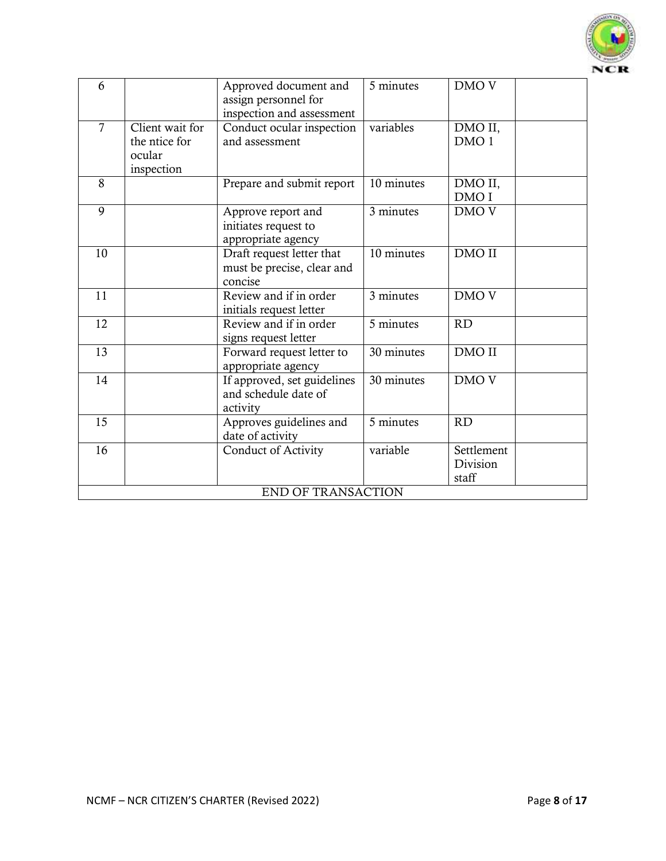

| 6              |                                                          | Approved document and<br>assign personnel for<br>inspection and assessment | 5 minutes  | DMO <sub>V</sub>                |
|----------------|----------------------------------------------------------|----------------------------------------------------------------------------|------------|---------------------------------|
| $\overline{7}$ | Client wait for<br>the ntice for<br>ocular<br>inspection | Conduct ocular inspection<br>and assessment                                | variables  | DMO II,<br>DMO <sub>1</sub>     |
| 8              |                                                          | Prepare and submit report                                                  | 10 minutes | DMO II,<br>DMO I                |
| 9              |                                                          | Approve report and<br>initiates request to<br>appropriate agency           | 3 minutes  | DMO <sub>V</sub>                |
| 10             |                                                          | Draft request letter that<br>must be precise, clear and<br>concise         | 10 minutes | DMO II                          |
| 11             |                                                          | Review and if in order<br>initials request letter                          | 3 minutes  | DMO <sub>V</sub>                |
| 12             |                                                          | Review and if in order<br>signs request letter                             | 5 minutes  | <b>RD</b>                       |
| 13             |                                                          | Forward request letter to<br>appropriate agency                            | 30 minutes | DMO II                          |
| 14             |                                                          | If approved, set guidelines<br>and schedule date of<br>activity            | 30 minutes | DMO <sub>V</sub>                |
| 15             |                                                          | Approves guidelines and<br>date of activity                                | 5 minutes  | <b>RD</b>                       |
| 16             |                                                          | <b>Conduct of Activity</b>                                                 | variable   | Settlement<br>Division<br>staff |
|                |                                                          | END OF TRANSACTION                                                         |            |                                 |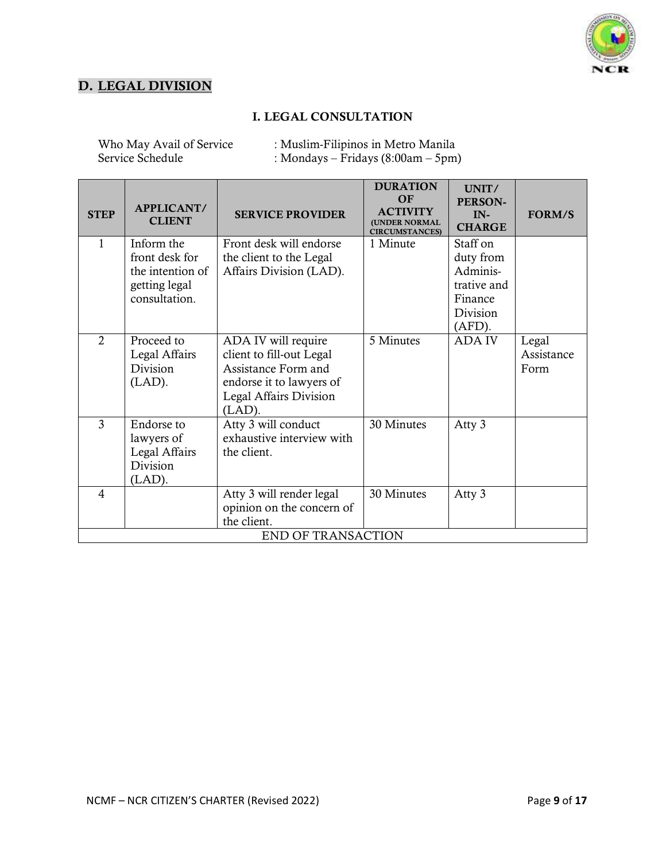

## D. LEGAL DIVISION

### I. LEGAL CONSULTATION

Who May Avail of Service : Muslim-Filipinos in Metro Manila<br>Service Schedule : Mondays – Fridays (8:00am – 5pm  $:$  Mondays – Fridays (8:00am – 5pm)

| <b>STEP</b>    | <b>APPLICANT/</b><br><b>CLIENT</b>                                                 | <b>SERVICE PROVIDER</b>                                                                                                                   | <b>DURATION</b><br>OF<br><b>ACTIVITY</b><br><b>(UNDER NORMAL</b><br><b>CIRCUMSTANCES)</b> | UNIT/<br><b>PERSON-</b><br>$IN-$<br><b>CHARGE</b>                                    | <b>FORM/S</b>               |
|----------------|------------------------------------------------------------------------------------|-------------------------------------------------------------------------------------------------------------------------------------------|-------------------------------------------------------------------------------------------|--------------------------------------------------------------------------------------|-----------------------------|
| 1              | Inform the<br>front desk for<br>the intention of<br>getting legal<br>consultation. | Front desk will endorse<br>the client to the Legal<br>Affairs Division (LAD).                                                             | 1 Minute                                                                                  | Staff on<br>duty from<br>Adminis-<br>trative and<br>Finance<br>Division<br>$(AFD)$ . |                             |
| $\overline{2}$ | Proceed to<br>Legal Affairs<br>Division<br>$(LAD)$ .                               | ADA IV will require<br>client to fill-out Legal<br>Assistance Form and<br>endorse it to lawyers of<br>Legal Affairs Division<br>$(LAD)$ . | 5 Minutes                                                                                 | <b>ADA IV</b>                                                                        | Legal<br>Assistance<br>Form |
| 3              | Endorse to<br>lawyers of<br>Legal Affairs<br>Division<br>$(LAD)$ .                 | Atty 3 will conduct<br>exhaustive interview with<br>the client.                                                                           | 30 Minutes                                                                                | Atty 3                                                                               |                             |
| $\overline{4}$ |                                                                                    | Atty 3 will render legal<br>opinion on the concern of<br>the client.<br><b>END OF TRANSACTION</b>                                         | 30 Minutes                                                                                | Atty 3                                                                               |                             |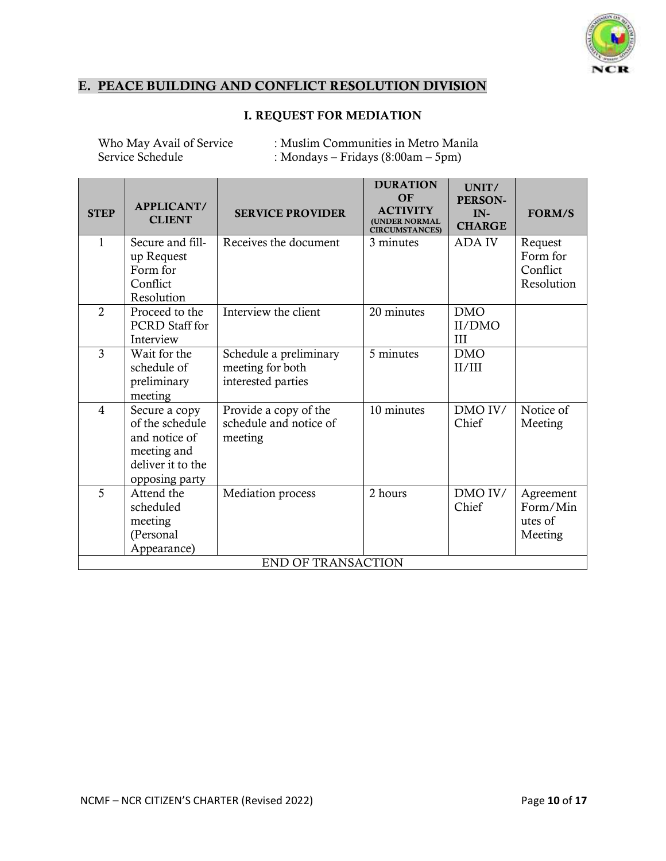

## E. PEACE BUILDING AND CONFLICT RESOLUTION DIVISION

## I. REQUEST FOR MEDIATION

Who May Avail of Service : Muslim Communities in Metro Manila<br>Service Schedule : Mondays – Fridays (8:00am – 5pm) : Mondays – Fridays  $(8:00am - 5pm)$ 

| <b>STEP</b>    | APPLICANT/<br><b>CLIENT</b>                                                                             | <b>SERVICE PROVIDER</b>                                          | <b>DURATION</b><br>OF<br><b>ACTIVITY</b><br>(UNDER NORMAL<br><b>CIRCUMSTANCES)</b> | UNIT/<br>PERSON-<br>$IN-$<br><b>CHARGE</b> | <b>FORM/S</b>                                 |
|----------------|---------------------------------------------------------------------------------------------------------|------------------------------------------------------------------|------------------------------------------------------------------------------------|--------------------------------------------|-----------------------------------------------|
| $\mathbf{1}$   | Secure and fill-<br>up Request<br>Form for<br>Conflict<br>Resolution                                    | Receives the document                                            | 3 minutes                                                                          | <b>ADA IV</b>                              | Request<br>Form for<br>Conflict<br>Resolution |
| $\overline{2}$ | Proceed to the<br><b>PCRD</b> Staff for<br>Interview                                                    | Interview the client                                             | 20 minutes                                                                         | <b>DMO</b><br>II/DMO<br>III                |                                               |
| 3              | Wait for the<br>schedule of<br>preliminary<br>meeting                                                   | Schedule a preliminary<br>meeting for both<br>interested parties | 5 minutes                                                                          | <b>DMO</b><br>II/III                       |                                               |
| $\overline{4}$ | Secure a copy<br>of the schedule<br>and notice of<br>meeting and<br>deliver it to the<br>opposing party | Provide a copy of the<br>schedule and notice of<br>meeting       | 10 minutes                                                                         | DMO IV/<br>Chief                           | Notice of<br>Meeting                          |
| 5              | Attend the<br>scheduled<br>meeting<br>(Personal<br>Appearance)                                          | Mediation process                                                | 2 hours                                                                            | DMO IV/<br>Chief                           | Agreement<br>Form/Min<br>utes of<br>Meeting   |
|                |                                                                                                         | <b>END OF TRANSACTION</b>                                        |                                                                                    |                                            |                                               |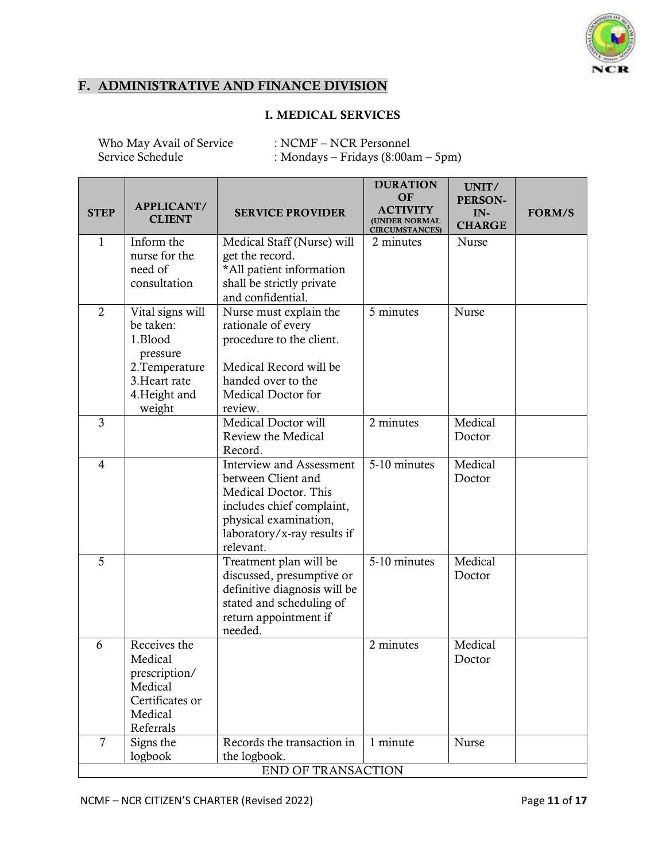

## F. ADMINISTRATIVE AND FINANCE DIVISION

## I. MEDICAL SERVICES

Who May Avail of Service : NCMF – NCR Personnel<br>Service Schedule : Mondays – Fridays (8:00a : Mondays – Fridays (8:00am – 5pm)

| <b>STEP</b>    | APPLICANT/<br><b>CLIENT</b>                                                                                        | <b>SERVICE PROVIDER</b>                                                                                                                                                         | <b>DURATION</b><br><b>OF</b><br><b>ACTIVITY</b><br>(UNDER NORMAL<br><b>CIRCUMSTANCES)</b> | UNIT/<br>PERSON-<br>IN-<br><b>CHARGE</b> | <b>FORM/S</b> |
|----------------|--------------------------------------------------------------------------------------------------------------------|---------------------------------------------------------------------------------------------------------------------------------------------------------------------------------|-------------------------------------------------------------------------------------------|------------------------------------------|---------------|
| 1              | Inform the<br>nurse for the<br>need of<br>consultation                                                             | Medical Staff (Nurse) will<br>get the record.<br>*All patient information<br>shall be strictly private<br>and confidential.                                                     | 2 minutes                                                                                 | Nurse                                    |               |
| $\overline{2}$ | Vital signs will<br>be taken:<br>1.Blood<br>pressure<br>2. Temperature<br>3. Heart rate<br>4. Height and<br>weight | Nurse must explain the<br>rationale of every<br>procedure to the client.<br>Medical Record will be<br>handed over to the<br>Medical Doctor for<br>review.                       | 5 minutes                                                                                 | Nurse                                    |               |
| $\overline{3}$ |                                                                                                                    | Medical Doctor will<br>Review the Medical<br>Record.                                                                                                                            | 2 minutes                                                                                 | Medical<br>Doctor                        |               |
| $\overline{4}$ |                                                                                                                    | <b>Interview and Assessment</b><br>between Client and<br>Medical Doctor. This<br>includes chief complaint,<br>physical examination,<br>laboratory/x-ray results if<br>relevant. | 5-10 minutes                                                                              | Medical<br>Doctor                        |               |
| 5              |                                                                                                                    | Treatment plan will be<br>discussed, presumptive or<br>definitive diagnosis will be<br>stated and scheduling of<br>return appointment if<br>needed.                             | 5-10 minutes                                                                              | Medical<br>Doctor                        |               |
| 6              | Receives the<br>Medical<br>prescription/<br>Medical<br>Certificates or<br>Medical<br>Referrals                     |                                                                                                                                                                                 | 2 minutes                                                                                 | Medical<br>Doctor                        |               |
| $\overline{7}$ | Signs the<br>logbook                                                                                               | Records the transaction in<br>the logbook.<br>END OF TRANSACTION                                                                                                                | 1 minute                                                                                  | <b>Nurse</b>                             |               |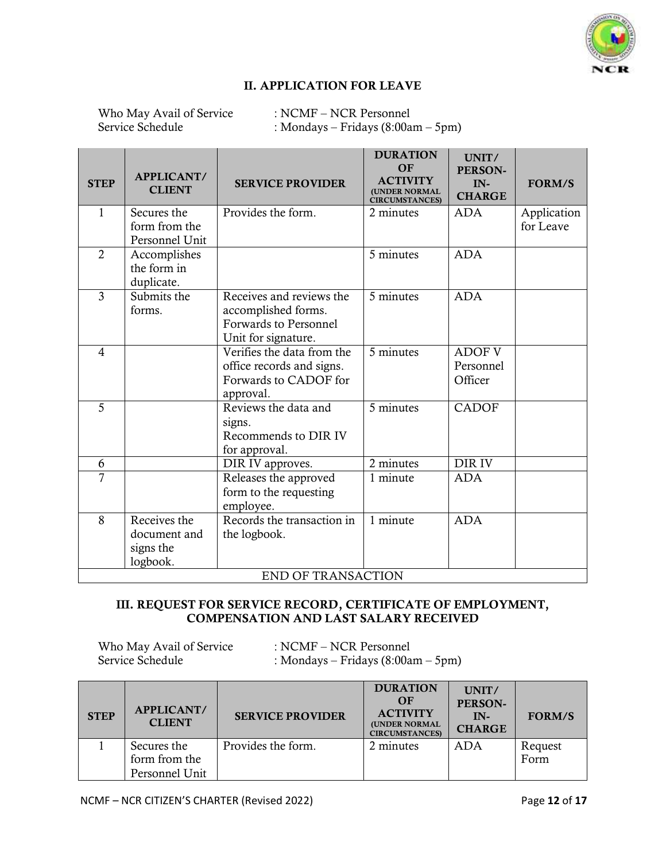

#### II. APPLICATION FOR LEAVE

Who May Avail of Service : NCMF – NCR Personnel<br>Service Schedule : Mondays – Fridays (8:00a : Mondays – Fridays  $(8:00am - 5pm)$ 

| <b>STEP</b>    | APPLICANT/<br><b>CLIENT</b>                                             | <b>SERVICE PROVIDER</b>                                                                                | <b>DURATION</b><br>OF<br><b>ACTIVITY</b><br>(UNDER NORMAL<br><b>CIRCUMSTANCES)</b> | UNIT/<br><b>PERSON-</b><br>IN-<br><b>CHARGE</b> | <b>FORM/S</b>            |
|----------------|-------------------------------------------------------------------------|--------------------------------------------------------------------------------------------------------|------------------------------------------------------------------------------------|-------------------------------------------------|--------------------------|
| $\mathbf{1}$   | Secures the<br>form from the<br>Personnel Unit                          | Provides the form.                                                                                     | 2 minutes                                                                          | <b>ADA</b>                                      | Application<br>for Leave |
| $\overline{2}$ | Accomplishes<br>the form in<br>duplicate.                               |                                                                                                        | 5 minutes                                                                          | <b>ADA</b>                                      |                          |
| $\overline{3}$ | Submits the<br>forms.                                                   | Receives and reviews the<br>accomplished forms.<br><b>Forwards to Personnel</b><br>Unit for signature. | 5 minutes                                                                          | <b>ADA</b>                                      |                          |
| $\overline{4}$ |                                                                         | Verifies the data from the<br>office records and signs.<br>Forwards to CADOF for<br>approval.          | 5 minutes                                                                          | <b>ADOF V</b><br>Personnel<br>Officer           |                          |
| 5              | Reviews the data and<br>signs.<br>Recommends to DIR IV<br>for approval. |                                                                                                        | 5 minutes                                                                          | <b>CADOF</b>                                    |                          |
| 6              |                                                                         | DIR IV approves.                                                                                       | 2 minutes                                                                          | DIR IV                                          |                          |
| $\overline{7}$ |                                                                         | Releases the approved<br>form to the requesting<br>employee.                                           | 1 minute                                                                           | <b>ADA</b>                                      |                          |
| 8              | Receives the<br>document and<br>signs the<br>logbook.                   | Records the transaction in<br>the logbook.                                                             | 1 minute                                                                           | <b>ADA</b>                                      |                          |
|                |                                                                         | <b>END OF TRANSACTION</b>                                                                              |                                                                                    |                                                 |                          |

#### III. REQUEST FOR SERVICE RECORD, CERTIFICATE OF EMPLOYMENT, COMPENSATION AND LAST SALARY RECEIVED

Who May Avail of Service : NCMF – NCR Personnel<br>Service Schedule : Mondavs – Fridavs (8:00a : Mondays – Fridays  $(8:00am - 5pm)$ 

| <b>STEP</b> | <b>APPLICANT/</b><br><b>CLIENT</b>             | <b>SERVICE PROVIDER</b> | <b>DURATION</b><br>$\Omega$ F<br><b>ACTIVITY</b><br>(UNDER NORMAL<br><b>CIRCUMSTANCES)</b> | UNIT/<br>PERSON-<br>$IN-$<br><b>CHARGE</b> | <b>FORM/S</b>   |
|-------------|------------------------------------------------|-------------------------|--------------------------------------------------------------------------------------------|--------------------------------------------|-----------------|
|             | Secures the<br>form from the<br>Personnel Unit | Provides the form.      | 2 minutes                                                                                  | <b>ADA</b>                                 | Request<br>Form |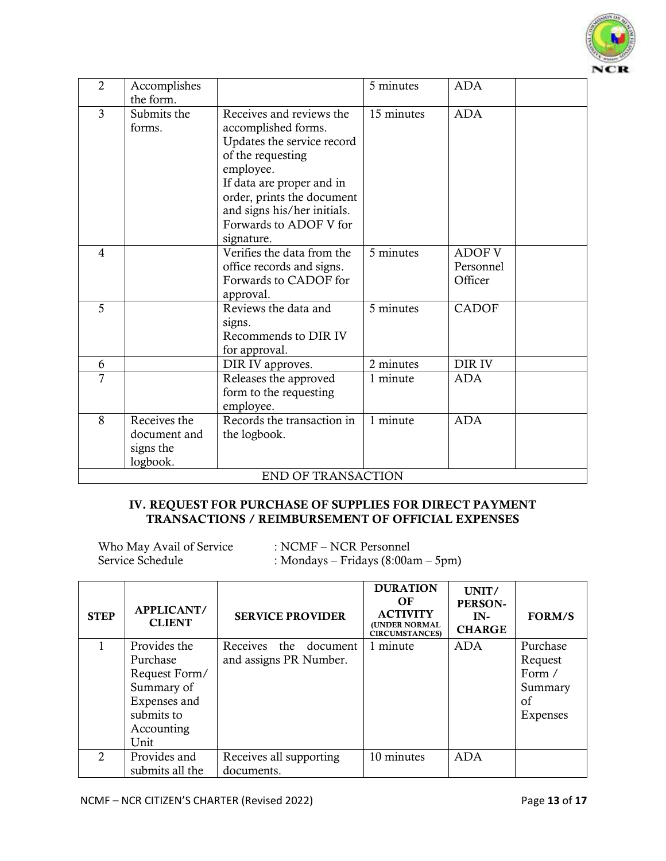

| $\overline{2}$ | Accomplishes                                          |                                                                                                                                                                                                                                                   | 5 minutes  | <b>ADA</b>                            |
|----------------|-------------------------------------------------------|---------------------------------------------------------------------------------------------------------------------------------------------------------------------------------------------------------------------------------------------------|------------|---------------------------------------|
| $\overline{3}$ | the form.<br>Submits the<br>forms.                    | Receives and reviews the<br>accomplished forms.<br>Updates the service record<br>of the requesting<br>employee.<br>If data are proper and in<br>order, prints the document<br>and signs his/her initials.<br>Forwards to ADOF V for<br>signature. | 15 minutes | <b>ADA</b>                            |
| $\overline{4}$ |                                                       | Verifies the data from the<br>office records and signs.<br>Forwards to CADOF for<br>approval.                                                                                                                                                     | 5 minutes  | <b>ADOF V</b><br>Personnel<br>Officer |
| 5              |                                                       | Reviews the data and<br>signs.<br>Recommends to DIR IV<br>for approval.                                                                                                                                                                           | 5 minutes  | <b>CADOF</b>                          |
| 6              |                                                       | DIR IV approves.                                                                                                                                                                                                                                  | 2 minutes  | DIR IV                                |
| 7              |                                                       | Releases the approved<br>form to the requesting<br>employee.                                                                                                                                                                                      | 1 minute   | <b>ADA</b>                            |
| 8              | Receives the<br>document and<br>signs the<br>logbook. | Records the transaction in<br>the logbook.<br><b>END OF TRANSACTION</b>                                                                                                                                                                           | 1 minute   | <b>ADA</b>                            |

#### IV. REQUEST FOR PURCHASE OF SUPPLIES FOR DIRECT PAYMENT TRANSACTIONS / REIMBURSEMENT OF OFFICIAL EXPENSES

Who May Avail of Service : NCMF – NCR Personnel<br>Service Schedule : Mondays – Fridays (8:00a : Mondays – Fridays  $(8:00am - 5pm)$ 

| <b>STEP</b>                 | <b>APPLICANT/</b><br><b>CLIENT</b> | <b>SERVICE PROVIDER</b>  | <b>DURATION</b><br>OF<br><b>ACTIVITY</b><br><b>(UNDER NORMAL</b><br><b>CIRCUMSTANCES</b> ) | UNIT/<br>PERSON-<br>$IN-$<br><b>CHARGE</b> | <b>FORM/S</b> |
|-----------------------------|------------------------------------|--------------------------|--------------------------------------------------------------------------------------------|--------------------------------------------|---------------|
|                             | Provides the                       | Receives the<br>document | 1 minute                                                                                   | <b>ADA</b>                                 | Purchase      |
|                             | Purchase                           | and assigns PR Number.   |                                                                                            |                                            | Request       |
|                             | Request Form/                      |                          |                                                                                            |                                            | Form /        |
|                             | Summary of                         |                          |                                                                                            |                                            | Summary       |
|                             | Expenses and                       |                          |                                                                                            |                                            | of            |
|                             | submits to                         |                          |                                                                                            |                                            | Expenses      |
|                             | Accounting                         |                          |                                                                                            |                                            |               |
|                             | Unit                               |                          |                                                                                            |                                            |               |
| $\mathcal{D}_{\mathcal{L}}$ | Provides and                       | Receives all supporting  | 10 minutes                                                                                 | ADA                                        |               |
|                             | submits all the                    | documents.               |                                                                                            |                                            |               |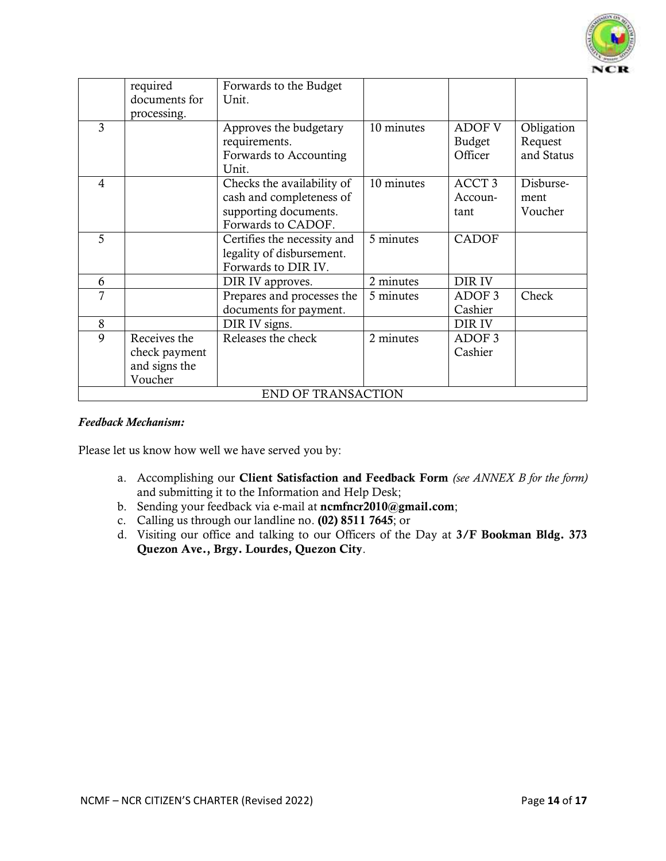

|                           | required      | Forwards to the Budget      |                     |                   |            |  |
|---------------------------|---------------|-----------------------------|---------------------|-------------------|------------|--|
|                           | documents for | Unit.                       |                     |                   |            |  |
|                           | processing.   |                             |                     |                   |            |  |
| 3                         |               | Approves the budgetary      | 10 minutes          | <b>ADOF V</b>     | Obligation |  |
|                           |               | requirements.               |                     | <b>Budget</b>     | Request    |  |
|                           |               | Forwards to Accounting      |                     | Officer           | and Status |  |
|                           |               | Unit.                       |                     |                   |            |  |
| 4                         |               | Checks the availability of  | 10 minutes          | ACCT <sub>3</sub> | Disburse-  |  |
|                           |               | cash and completeness of    |                     | Accoun-           | ment       |  |
|                           |               | supporting documents.       |                     | tant              | Voucher    |  |
|                           |               | Forwards to CADOF.          |                     |                   |            |  |
| 5                         |               | Certifies the necessity and | 5 minutes           | <b>CADOF</b>      |            |  |
|                           |               | legality of disbursement.   |                     |                   |            |  |
|                           |               | Forwards to DIR IV.         |                     |                   |            |  |
| 6                         |               | DIR IV approves.            | 2 minutes<br>DIR IV |                   |            |  |
| 7                         |               | Prepares and processes the  | 5 minutes           | ADOF <sub>3</sub> | Check      |  |
|                           |               | documents for payment.      |                     | Cashier           |            |  |
| 8                         |               | DIR IV signs.               |                     | DIR IV            |            |  |
| 9                         | Receives the  | Releases the check          | 2 minutes           | ADOF <sub>3</sub> |            |  |
|                           | check payment |                             |                     | Cashier           |            |  |
|                           | and signs the |                             |                     |                   |            |  |
|                           | Voucher       |                             |                     |                   |            |  |
| <b>END OF TRANSACTION</b> |               |                             |                     |                   |            |  |

#### *Feedback Mechanism:*

Please let us know how well we have served you by:

- a. Accomplishing our Client Satisfaction and Feedback Form *(see ANNEX B for the form)* and submitting it to the Information and Help Desk;
- b. Sending your feedback via e-mail at [ncmfncr2010@gmail.com](mailto:ncmfncr2010@gmail.com);
- c. Calling us through our landline no. (02) 8511 7645; or
- d. Visiting our office and talking to our Officers of the Day at 3/F Bookman Bldg. 373 Quezon Ave., Brgy. Lourdes, Quezon City.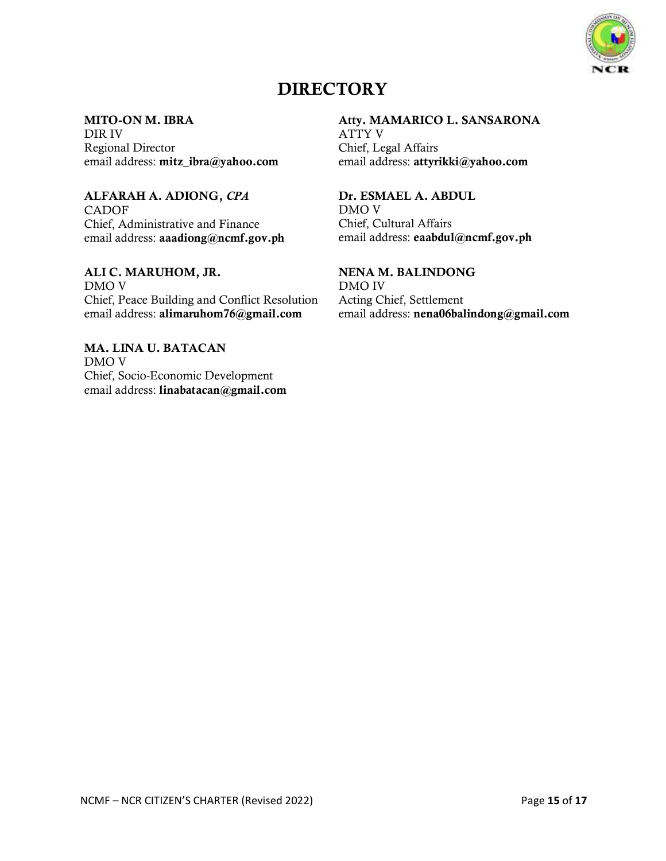

# **DIRECTORY**

#### MITO-ON M. IBRA

DIR IV Regional Director email address: [mitz\\_ibra@yahoo.com](mailto:mitz_ibra@yahoo.com)

## ALFARAH A. ADIONG, *CPA*

CADOF Chief, Administrative and Finance email address: [aaadiong@ncmf.gov.ph](mailto:aaadiong@ncmf.gov.ph)

ALI C. MARUHOM, JR. DMO V Chief, Peace Building and Conflict Resolution email address: [alimaruhom76@gmail.com](mailto:alimaruhom76@gmail.com)

MA. LINA U. BATACAN DMO V Chief, Socio-Economic Development email address: linabatacan@gmail.com

#### Atty. MAMARICO L. SANSARONA

ATTY V Chief, Legal Affairs email address: [attyrikki@yahoo.com](mailto:attyrikki@yahoo.com)

## Dr. ESMAEL A. ABDUL

DMO V Chief, Cultural Affairs email address: eaabdul@ncmf.gov.ph

## NENA M. BALINDONG

DMO IV Acting Chief, Settlement email address: nena06balindong@gmail.com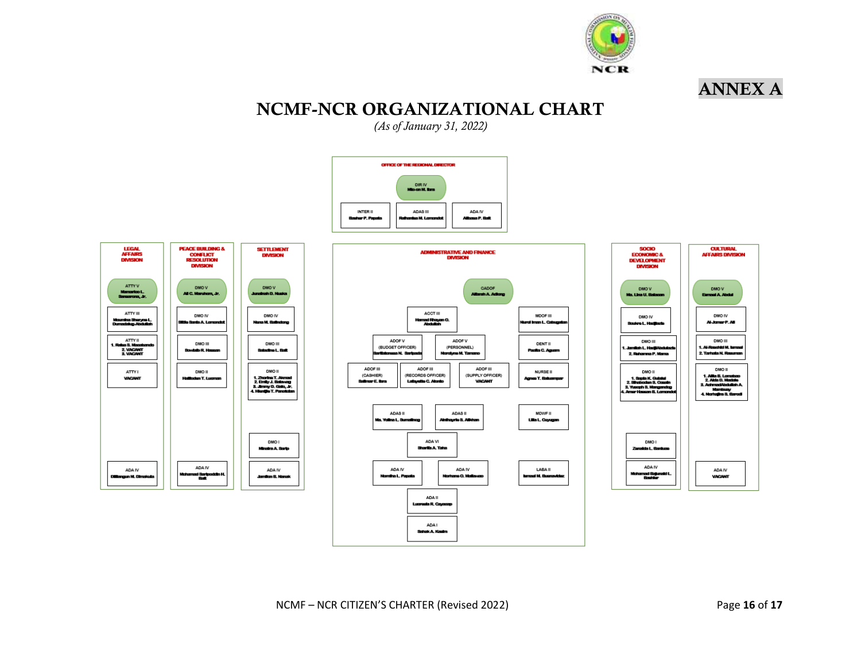

# NCMF-NCR ORGANIZATIONAL CHART

*(As of January 31, 2022)*









ANNEX A